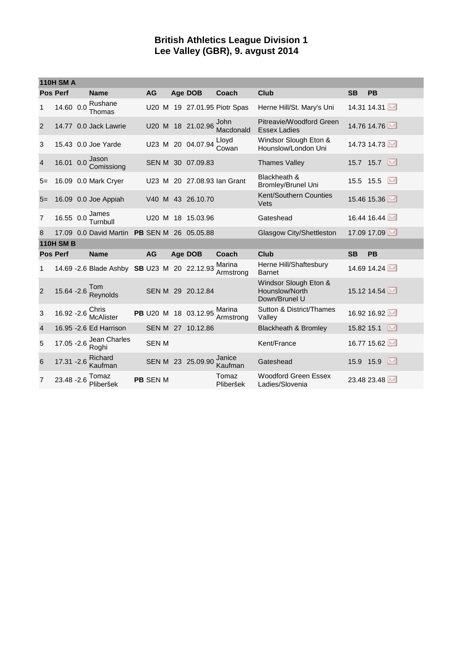## **British Athletics League Division 1 Lee Valley (GBR), 9. avgust 2014**

| <b>110H SM A</b> |                  |  |                                              |  |                 |  |  |                      |                              |                                                          |            |                         |
|------------------|------------------|--|----------------------------------------------|--|-----------------|--|--|----------------------|------------------------------|----------------------------------------------------------|------------|-------------------------|
|                  | <b>Pos Perf</b>  |  | <b>Name</b>                                  |  | <b>AG</b>       |  |  | Age DOB              | Coach                        | <b>Club</b>                                              | <b>SB</b>  | <b>PB</b>               |
| 1                | 14.60 0.0        |  | Rushane<br>Thomas                            |  |                 |  |  |                      | U20 M 19 27.01.95 Piotr Spas | Herne Hill/St. Mary's Uni                                |            | 14.31 14.31             |
| 2                |                  |  | 14.77 0.0 Jack Lawrie                        |  |                 |  |  | U20 M 18 21.02.96    | John<br>Macdonald            | Pitreavie/Woodford Green<br><b>Essex Ladies</b>          |            | 14.76 14.76             |
| 3                |                  |  | 15.43 0.0 Joe Yarde                          |  |                 |  |  | U23 M 20 04.07.94    | Lloyd<br>Cowan               | Windsor Slough Eton &<br>Hounslow/London Uni             |            | 14.73 14.73             |
| $\overline{4}$   | 16.01 0.0        |  | Jason<br>Comissiong                          |  |                 |  |  | SEN M 30 07.09.83    |                              | <b>Thames Valley</b>                                     |            | 15.7 15.7               |
| $5=$             |                  |  | 16.09 0.0 Mark Cryer                         |  | U23 M           |  |  |                      | 20 27,08.93 Ian Grant        | Blackheath &<br>Bromley/Brunel Uni                       | 15.5 15.5  | M                       |
| $5=$             |                  |  | 16.09 0.0 Joe Appiah                         |  |                 |  |  | V40 M 43 26.10.70    |                              | Kent/Southern Counties<br>Vets                           |            | 15.46 15.36             |
| $\overline{7}$   | 16.55 0.0        |  | James<br>Turnbull                            |  | U20 M           |  |  | 18 15.03.96          |                              | Gateshead                                                |            | 16.44 16.44             |
| 8                |                  |  | 17.09 0.0 David Martin                       |  |                 |  |  | PB SEN M 26 05.05.88 |                              | Glasgow City/Shettleston                                 |            | 17.09 17.09             |
|                  | <b>110H SM B</b> |  |                                              |  |                 |  |  |                      |                              |                                                          |            |                         |
|                  | <b>Pos Perf</b>  |  | <b>Name</b>                                  |  | <b>AG</b>       |  |  | Age DOB              | Coach                        | Club                                                     | <b>SB</b>  | <b>PB</b>               |
| 1                |                  |  | 14.69 - 2.6 Blade Ashby SB U23 M 20 22.12.93 |  |                 |  |  |                      | Marina<br>Armstrong          | Herne Hill/Shaftesbury<br><b>Barnet</b>                  |            | 14.69 14.24             |
| 2                | 15.64 - 2.6      |  | Tom<br>Reynolds                              |  |                 |  |  | SEN M 29 20.12.84    |                              | Windsor Slough Eton &<br>Hounslow/North<br>Down/Brunel U |            | 15.12 14.54             |
| 3                | 16.92 - 2.6      |  | Chris<br><b>McAlister</b>                    |  |                 |  |  | PB U20 M 18 03.12.95 | Marina<br>Armstrong          | Sutton & District/Thames<br>Valley                       |            | 16.92 16.92             |
| $\overline{4}$   |                  |  | 16.95 - 2.6 Ed Harrison                      |  |                 |  |  | SEN M 27 10.12.86    |                              | <b>Blackheath &amp; Bromley</b>                          | 15.82 15.1 | $\overline{\mathbf{M}}$ |
| 5                | 17.05 - 2.6      |  | Jean Charles<br>Roghi                        |  | <b>SEN M</b>    |  |  |                      |                              | Kent/France                                              |            | 16.77 15.62             |
| 6                | 17.31 - 2.6      |  | Richard<br>Kaufman                           |  |                 |  |  | SEN M 23 25.09.90    | Janice<br>Kaufman            | Gateshead                                                | 15.9 15.9  | $\sim$                  |
| $\overline{7}$   | 23.48 - 2.6      |  | Tomaz<br>Pliberšek                           |  | <b>PB SEN M</b> |  |  |                      | Tomaz<br>Pliberšek           | <b>Woodford Green Essex</b><br>Ladies/Slovenia           |            | 23.48 23.48             |